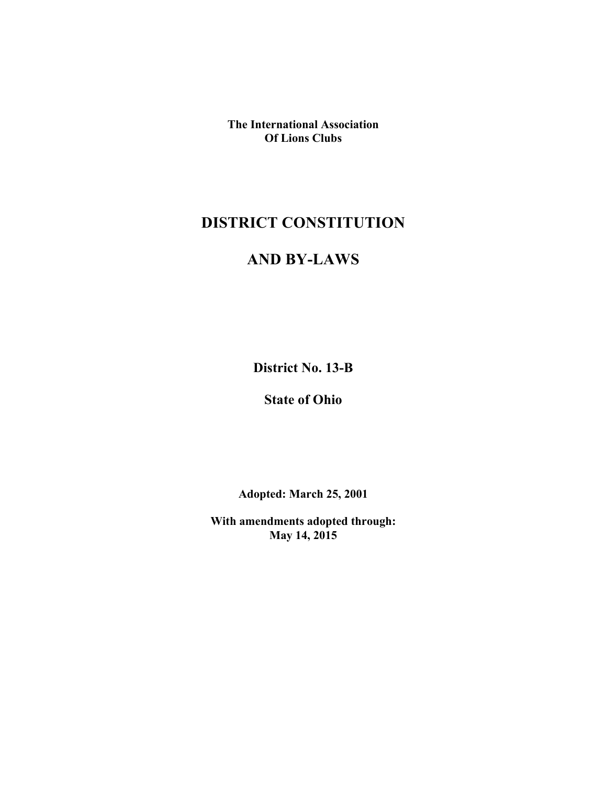**The International Association Of Lions Clubs**

# **DISTRICT CONSTITUTION**

# **AND BY-LAWS**

**District No. 13-B**

**State of Ohio**

**Adopted: March 25, 2001**

**With amendments adopted through: May 14, 2015**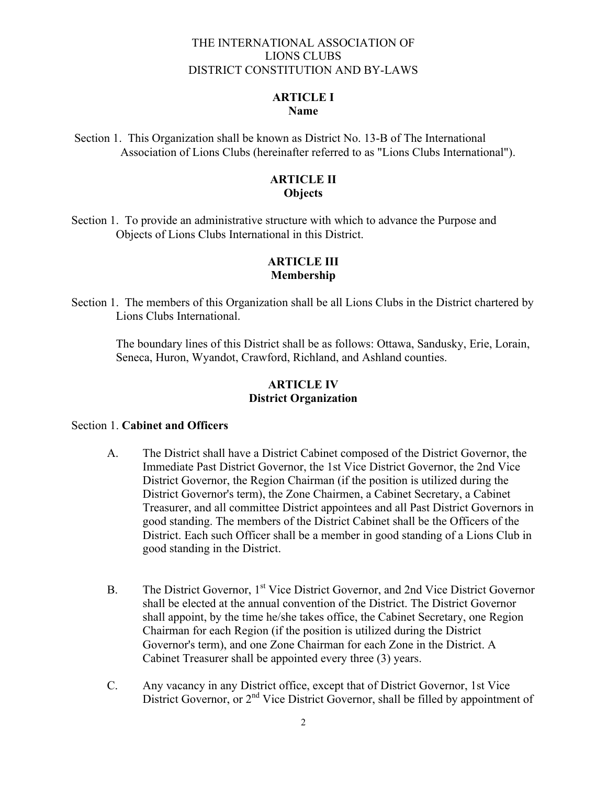#### THE INTERNATIONAL ASSOCIATION OF LIONS CLUBS DISTRICT CONSTITUTION AND BY-LAWS

# **ARTICLE I**

# **Name**

Section 1. This Organization shall be known as District No. 13-B of The International Association of Lions Clubs (hereinafter referred to as "Lions Clubs International").

# **ARTICLE II Objects**

Section 1. To provide an administrative structure with which to advance the Purpose and Objects of Lions Clubs International in this District.

# **ARTICLE III Membership**

Section 1. The members of this Organization shall be all Lions Clubs in the District chartered by Lions Clubs International.

The boundary lines of this District shall be as follows: Ottawa, Sandusky, Erie, Lorain, Seneca, Huron, Wyandot, Crawford, Richland, and Ashland counties.

# **ARTICLE IV District Organization**

## Section 1. **Cabinet and Officers**

- A. The District shall have a District Cabinet composed of the District Governor, the Immediate Past District Governor, the 1st Vice District Governor, the 2nd Vice District Governor, the Region Chairman (if the position is utilized during the District Governor's term), the Zone Chairmen, a Cabinet Secretary, a Cabinet Treasurer, and all committee District appointees and all Past District Governors in good standing. The members of the District Cabinet shall be the Officers of the District. Each such Officer shall be a member in good standing of a Lions Club in good standing in the District.
- B. The District Governor, 1<sup>st</sup> Vice District Governor, and 2nd Vice District Governor shall be elected at the annual convention of the District. The District Governor shall appoint, by the time he/she takes office, the Cabinet Secretary, one Region Chairman for each Region (if the position is utilized during the District Governor's term), and one Zone Chairman for each Zone in the District. A Cabinet Treasurer shall be appointed every three (3) years.
- C. Any vacancy in any District office, except that of District Governor, 1st Vice District Governor, or 2<sup>nd</sup> Vice District Governor, shall be filled by appointment of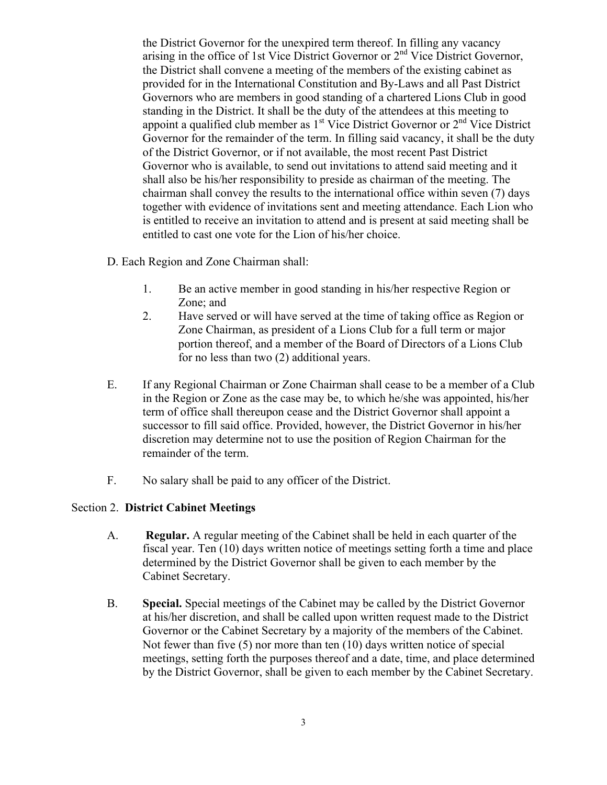the District Governor for the unexpired term thereof. In filling any vacancy arising in the office of 1st Vice District Governor or 2<sup>nd</sup> Vice District Governor, the District shall convene a meeting of the members of the existing cabinet as provided for in the International Constitution and By-Laws and all Past District Governors who are members in good standing of a chartered Lions Club in good standing in the District. It shall be the duty of the attendees at this meeting to appoint a qualified club member as  $1<sup>st</sup>$  Vice District Governor or  $2<sup>nd</sup>$  Vice District Governor for the remainder of the term. In filling said vacancy, it shall be the duty of the District Governor, or if not available, the most recent Past District Governor who is available, to send out invitations to attend said meeting and it shall also be his/her responsibility to preside as chairman of the meeting. The chairman shall convey the results to the international office within seven (7) days together with evidence of invitations sent and meeting attendance. Each Lion who is entitled to receive an invitation to attend and is present at said meeting shall be entitled to cast one vote for the Lion of his/her choice.

- D. Each Region and Zone Chairman shall:
	- 1. Be an active member in good standing in his/her respective Region or Zone; and
	- 2. Have served or will have served at the time of taking office as Region or Zone Chairman, as president of a Lions Club for a full term or major portion thereof, and a member of the Board of Directors of a Lions Club for no less than two (2) additional years.
- E. If any Regional Chairman or Zone Chairman shall cease to be a member of a Club in the Region or Zone as the case may be, to which he/she was appointed, his/her term of office shall thereupon cease and the District Governor shall appoint a successor to fill said office. Provided, however, the District Governor in his/her discretion may determine not to use the position of Region Chairman for the remainder of the term.
- F. No salary shall be paid to any officer of the District.

#### Section 2. **District Cabinet Meetings**

- A. **Regular.** A regular meeting of the Cabinet shall be held in each quarter of the fiscal year. Ten (10) days written notice of meetings setting forth a time and place determined by the District Governor shall be given to each member by the Cabinet Secretary.
- B. **Special.** Special meetings of the Cabinet may be called by the District Governor at his/her discretion, and shall be called upon written request made to the District Governor or the Cabinet Secretary by a majority of the members of the Cabinet. Not fewer than five (5) nor more than ten (10) days written notice of special meetings, setting forth the purposes thereof and a date, time, and place determined by the District Governor, shall be given to each member by the Cabinet Secretary.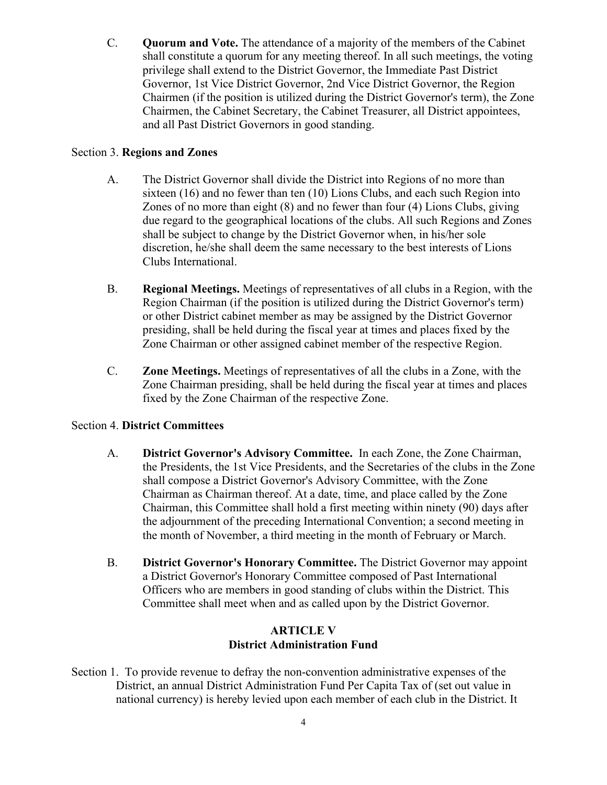C. **Quorum and Vote.** The attendance of a majority of the members of the Cabinet shall constitute a quorum for any meeting thereof. In all such meetings, the voting privilege shall extend to the District Governor, the Immediate Past District Governor, 1st Vice District Governor, 2nd Vice District Governor, the Region Chairmen (if the position is utilized during the District Governor's term), the Zone Chairmen, the Cabinet Secretary, the Cabinet Treasurer, all District appointees, and all Past District Governors in good standing.

# Section 3. **Regions and Zones**

- A. The District Governor shall divide the District into Regions of no more than sixteen (16) and no fewer than ten (10) Lions Clubs, and each such Region into Zones of no more than eight (8) and no fewer than four (4) Lions Clubs, giving due regard to the geographical locations of the clubs. All such Regions and Zones shall be subject to change by the District Governor when, in his/her sole discretion, he/she shall deem the same necessary to the best interests of Lions Clubs International.
- B. **Regional Meetings.** Meetings of representatives of all clubs in a Region, with the Region Chairman (if the position is utilized during the District Governor's term) or other District cabinet member as may be assigned by the District Governor presiding, shall be held during the fiscal year at times and places fixed by the Zone Chairman or other assigned cabinet member of the respective Region.
- C. **Zone Meetings.** Meetings of representatives of all the clubs in a Zone, with the Zone Chairman presiding, shall be held during the fiscal year at times and places fixed by the Zone Chairman of the respective Zone.

#### Section 4. **District Committees**

- A. **District Governor's Advisory Committee.** In each Zone, the Zone Chairman, the Presidents, the 1st Vice Presidents, and the Secretaries of the clubs in the Zone shall compose a District Governor's Advisory Committee, with the Zone Chairman as Chairman thereof. At a date, time, and place called by the Zone Chairman, this Committee shall hold a first meeting within ninety (90) days after the adjournment of the preceding International Convention; a second meeting in the month of November, a third meeting in the month of February or March.
- B. **District Governor's Honorary Committee.** The District Governor may appoint a District Governor's Honorary Committee composed of Past International Officers who are members in good standing of clubs within the District. This Committee shall meet when and as called upon by the District Governor.

# **ARTICLE V District Administration Fund**

Section 1. To provide revenue to defray the non-convention administrative expenses of the District, an annual District Administration Fund Per Capita Tax of (set out value in national currency) is hereby levied upon each member of each club in the District. It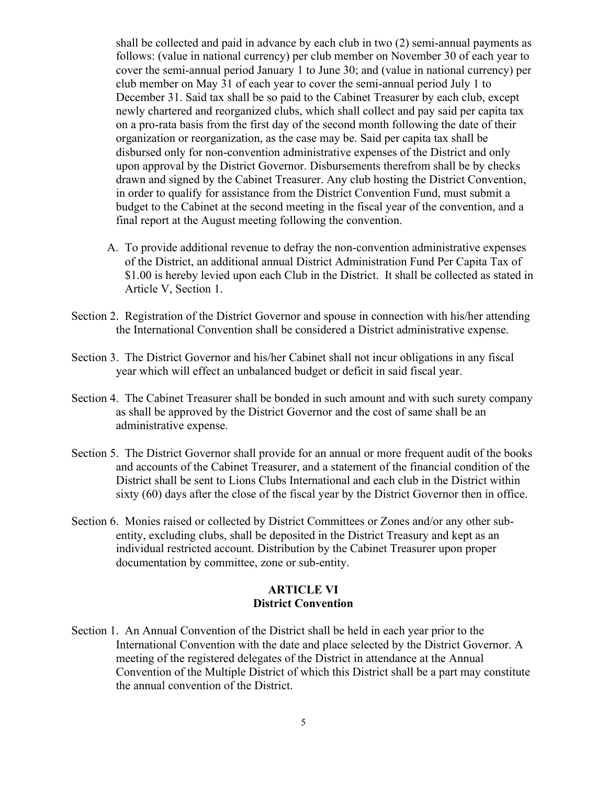shall be collected and paid in advance by each club in two (2) semi-annual payments as follows: (value in national currency) per club member on November 30 of each year to cover the semi-annual period January 1 to June 30; and (value in national currency) per club member on May 31 of each year to cover the semi-annual period July 1 to December 31. Said tax shall be so paid to the Cabinet Treasurer by each club, except newly chartered and reorganized clubs, which shall collect and pay said per capita tax on a pro-rata basis from the first day of the second month following the date of their organization or reorganization, as the case may be. Said per capita tax shall be disbursed only for non-convention administrative expenses of the District and only upon approval by the District Governor. Disbursements therefrom shall be by checks drawn and signed by the Cabinet Treasurer. Any club hosting the District Convention, in order to qualify for assistance from the District Convention Fund, must submit a budget to the Cabinet at the second meeting in the fiscal year of the convention, and a final report at the August meeting following the convention.

- A. To provide additional revenue to defray the non-convention administrative expenses of the District, an additional annual District Administration Fund Per Capita Tax of \$1.00 is hereby levied upon each Club in the District. It shall be collected as stated in Article V, Section 1.
- Section 2. Registration of the District Governor and spouse in connection with his/her attending the International Convention shall be considered a District administrative expense.
- Section 3. The District Governor and his/her Cabinet shall not incur obligations in any fiscal year which will effect an unbalanced budget or deficit in said fiscal year.
- Section 4. The Cabinet Treasurer shall be bonded in such amount and with such surety company as shall be approved by the District Governor and the cost of same shall be an administrative expense.
- Section 5. The District Governor shall provide for an annual or more frequent audit of the books and accounts of the Cabinet Treasurer, and a statement of the financial condition of the District shall be sent to Lions Clubs International and each club in the District within sixty (60) days after the close of the fiscal year by the District Governor then in office.
- Section 6. Monies raised or collected by District Committees or Zones and/or any other subentity, excluding clubs, shall be deposited in the District Treasury and kept as an individual restricted account. Distribution by the Cabinet Treasurer upon proper documentation by committee, zone or sub-entity.

# **ARTICLE VI District Convention**

Section 1. An Annual Convention of the District shall be held in each year prior to the International Convention with the date and place selected by the District Governor. A meeting of the registered delegates of the District in attendance at the Annual Convention of the Multiple District of which this District shall be a part may constitute the annual convention of the District.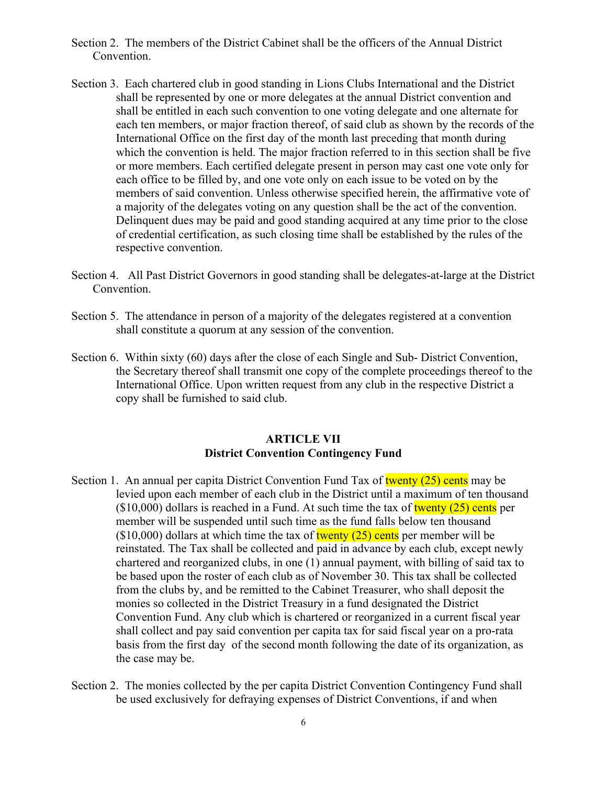- Section 2. The members of the District Cabinet shall be the officers of the Annual District Convention.
- Section 3. Each chartered club in good standing in Lions Clubs International and the District shall be represented by one or more delegates at the annual District convention and shall be entitled in each such convention to one voting delegate and one alternate for each ten members, or major fraction thereof, of said club as shown by the records of the International Office on the first day of the month last preceding that month during which the convention is held. The major fraction referred to in this section shall be five or more members. Each certified delegate present in person may cast one vote only for each office to be filled by, and one vote only on each issue to be voted on by the members of said convention. Unless otherwise specified herein, the affirmative vote of a majority of the delegates voting on any question shall be the act of the convention. Delinquent dues may be paid and good standing acquired at any time prior to the close of credential certification, as such closing time shall be established by the rules of the respective convention.
- Section 4. All Past District Governors in good standing shall be delegates-at-large at the District Convention.
- Section 5. The attendance in person of a majority of the delegates registered at a convention shall constitute a quorum at any session of the convention.
- Section 6. Within sixty (60) days after the close of each Single and Sub- District Convention, the Secretary thereof shall transmit one copy of the complete proceedings thereof to the International Office. Upon written request from any club in the respective District a copy shall be furnished to said club.

# **ARTICLE VII District Convention Contingency Fund**

- Section 1. An annual per capita District Convention Fund Tax of twenty (25) cents may be levied upon each member of each club in the District until a maximum of ten thousand  $(10,000)$  dollars is reached in a Fund. At such time the tax of twenty  $(25)$  cents per member will be suspended until such time as the fund falls below ten thousand  $($10,000)$  dollars at which time the tax of twenty (25) cents per member will be reinstated. The Tax shall be collected and paid in advance by each club, except newly chartered and reorganized clubs, in one (1) annual payment, with billing of said tax to be based upon the roster of each club as of November 30. This tax shall be collected from the clubs by, and be remitted to the Cabinet Treasurer, who shall deposit the monies so collected in the District Treasury in a fund designated the District Convention Fund. Any club which is chartered or reorganized in a current fiscal year shall collect and pay said convention per capita tax for said fiscal year on a pro-rata basis from the first day of the second month following the date of its organization, as the case may be.
- Section 2. The monies collected by the per capita District Convention Contingency Fund shall be used exclusively for defraying expenses of District Conventions, if and when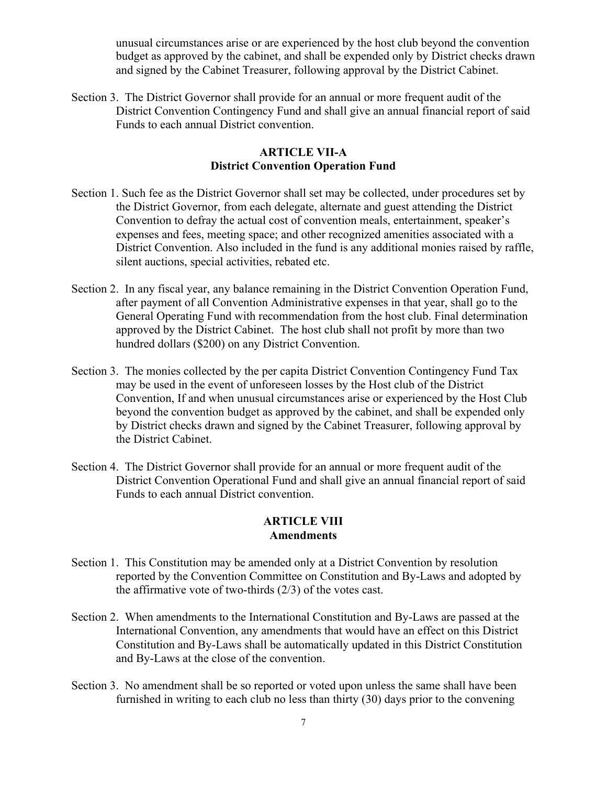unusual circumstances arise or are experienced by the host club beyond the convention budget as approved by the cabinet, and shall be expended only by District checks drawn and signed by the Cabinet Treasurer, following approval by the District Cabinet.

Section 3. The District Governor shall provide for an annual or more frequent audit of the District Convention Contingency Fund and shall give an annual financial report of said Funds to each annual District convention.

#### **ARTICLE VII-A District Convention Operation Fund**

- Section 1. Such fee as the District Governor shall set may be collected, under procedures set by the District Governor, from each delegate, alternate and guest attending the District Convention to defray the actual cost of convention meals, entertainment, speaker's expenses and fees, meeting space; and other recognized amenities associated with a District Convention. Also included in the fund is any additional monies raised by raffle, silent auctions, special activities, rebated etc.
- Section 2. In any fiscal year, any balance remaining in the District Convention Operation Fund, after payment of all Convention Administrative expenses in that year, shall go to the General Operating Fund with recommendation from the host club. Final determination approved by the District Cabinet. The host club shall not profit by more than two hundred dollars (\$200) on any District Convention.
- Section 3. The monies collected by the per capita District Convention Contingency Fund Tax may be used in the event of unforeseen losses by the Host club of the District Convention, If and when unusual circumstances arise or experienced by the Host Club beyond the convention budget as approved by the cabinet, and shall be expended only by District checks drawn and signed by the Cabinet Treasurer, following approval by the District Cabinet.
- Section 4. The District Governor shall provide for an annual or more frequent audit of the District Convention Operational Fund and shall give an annual financial report of said Funds to each annual District convention.

#### **ARTICLE VIII Amendments**

- Section 1. This Constitution may be amended only at a District Convention by resolution reported by the Convention Committee on Constitution and By-Laws and adopted by the affirmative vote of two-thirds (2/3) of the votes cast.
- Section 2. When amendments to the International Constitution and By-Laws are passed at the International Convention, any amendments that would have an effect on this District Constitution and By-Laws shall be automatically updated in this District Constitution and By-Laws at the close of the convention.
- Section 3. No amendment shall be so reported or voted upon unless the same shall have been furnished in writing to each club no less than thirty (30) days prior to the convening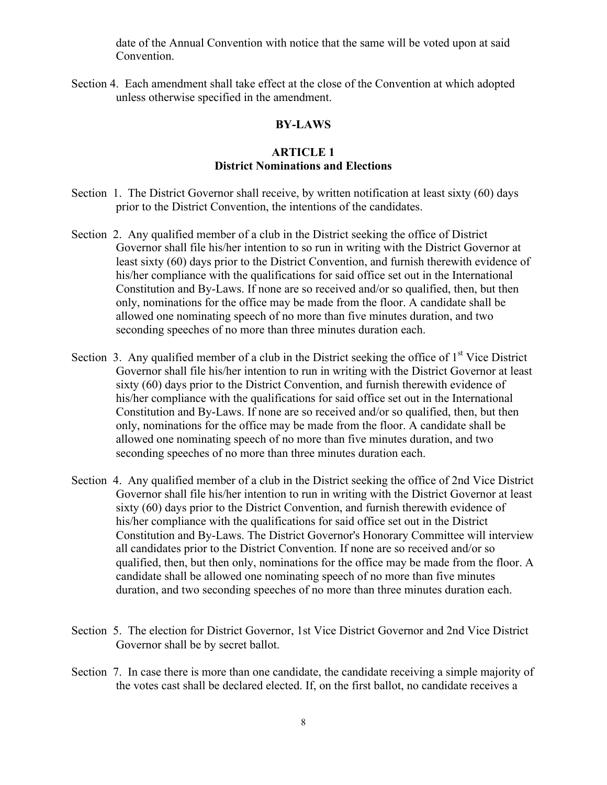date of the Annual Convention with notice that the same will be voted upon at said Convention.

Section 4. Each amendment shall take effect at the close of the Convention at which adopted unless otherwise specified in the amendment.

#### **BY-LAWS**

#### **ARTICLE 1 District Nominations and Elections**

- Section 1. The District Governor shall receive, by written notification at least sixty (60) days prior to the District Convention, the intentions of the candidates.
- Section 2. Any qualified member of a club in the District seeking the office of District Governor shall file his/her intention to so run in writing with the District Governor at least sixty (60) days prior to the District Convention, and furnish therewith evidence of his/her compliance with the qualifications for said office set out in the International Constitution and By-Laws. If none are so received and/or so qualified, then, but then only, nominations for the office may be made from the floor. A candidate shall be allowed one nominating speech of no more than five minutes duration, and two seconding speeches of no more than three minutes duration each.
- Section 3. Any qualified member of a club in the District seeking the office of  $1<sup>st</sup>$  Vice District Governor shall file his/her intention to run in writing with the District Governor at least sixty (60) days prior to the District Convention, and furnish therewith evidence of his/her compliance with the qualifications for said office set out in the International Constitution and By-Laws. If none are so received and/or so qualified, then, but then only, nominations for the office may be made from the floor. A candidate shall be allowed one nominating speech of no more than five minutes duration, and two seconding speeches of no more than three minutes duration each.
- Section 4. Any qualified member of a club in the District seeking the office of 2nd Vice District Governor shall file his/her intention to run in writing with the District Governor at least sixty (60) days prior to the District Convention, and furnish therewith evidence of his/her compliance with the qualifications for said office set out in the District Constitution and By-Laws. The District Governor's Honorary Committee will interview all candidates prior to the District Convention. If none are so received and/or so qualified, then, but then only, nominations for the office may be made from the floor. A candidate shall be allowed one nominating speech of no more than five minutes duration, and two seconding speeches of no more than three minutes duration each.
- Section 5. The election for District Governor, 1st Vice District Governor and 2nd Vice District Governor shall be by secret ballot.
- Section 7. In case there is more than one candidate, the candidate receiving a simple majority of the votes cast shall be declared elected. If, on the first ballot, no candidate receives a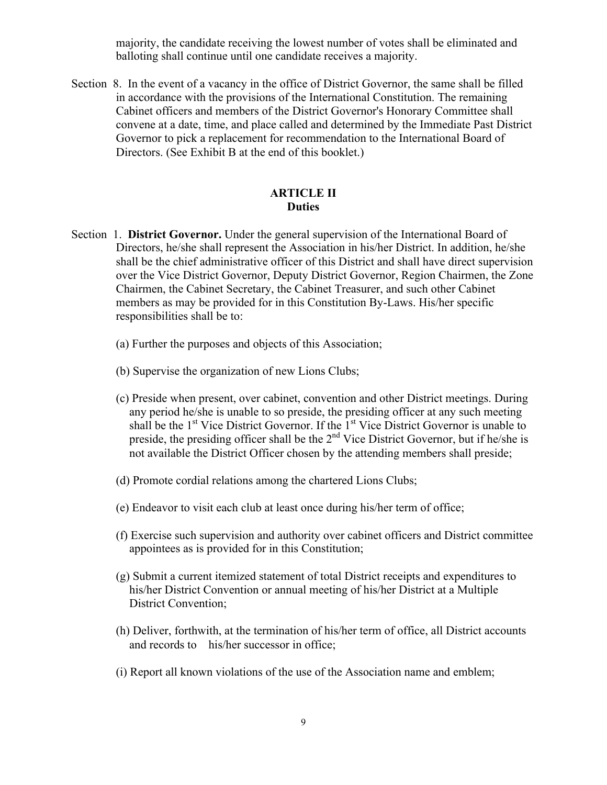majority, the candidate receiving the lowest number of votes shall be eliminated and balloting shall continue until one candidate receives a majority.

Section 8. In the event of a vacancy in the office of District Governor, the same shall be filled in accordance with the provisions of the International Constitution. The remaining Cabinet officers and members of the District Governor's Honorary Committee shall convene at a date, time, and place called and determined by the Immediate Past District Governor to pick a replacement for recommendation to the International Board of Directors. (See Exhibit B at the end of this booklet.)

# **ARTICLE II Duties**

- Section 1. **District Governor.** Under the general supervision of the International Board of Directors, he/she shall represent the Association in his/her District. In addition, he/she shall be the chief administrative officer of this District and shall have direct supervision over the Vice District Governor, Deputy District Governor, Region Chairmen, the Zone Chairmen, the Cabinet Secretary, the Cabinet Treasurer, and such other Cabinet members as may be provided for in this Constitution By-Laws. His/her specific responsibilities shall be to:
	- (a) Further the purposes and objects of this Association;
	- (b) Supervise the organization of new Lions Clubs;
	- (c) Preside when present, over cabinet, convention and other District meetings. During any period he/she is unable to so preside, the presiding officer at any such meeting shall be the  $1<sup>st</sup>$  Vice District Governor. If the  $1<sup>st</sup>$  Vice District Governor is unable to preside, the presiding officer shall be the  $2<sup>nd</sup>$  Vice District Governor, but if he/she is not available the District Officer chosen by the attending members shall preside;
	- (d) Promote cordial relations among the chartered Lions Clubs;
	- (e) Endeavor to visit each club at least once during his/her term of office;
	- (f) Exercise such supervision and authority over cabinet officers and District committee appointees as is provided for in this Constitution;
	- (g) Submit a current itemized statement of total District receipts and expenditures to his/her District Convention or annual meeting of his/her District at a Multiple District Convention;
	- (h) Deliver, forthwith, at the termination of his/her term of office, all District accounts and records to his/her successor in office;
	- (i) Report all known violations of the use of the Association name and emblem;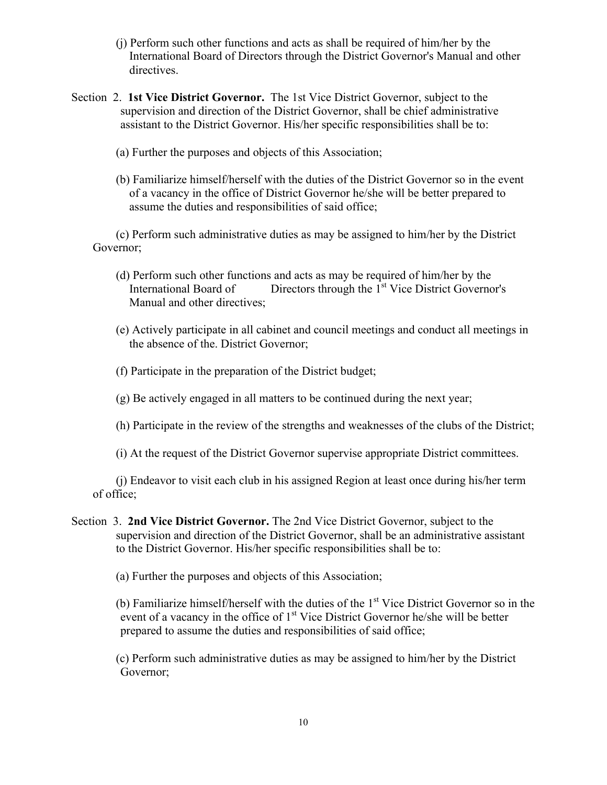- (j) Perform such other functions and acts as shall be required of him/her by the International Board of Directors through the District Governor's Manual and other directives.
- Section 2. **1st Vice District Governor.** The 1st Vice District Governor, subject to the supervision and direction of the District Governor, shall be chief administrative assistant to the District Governor. His/her specific responsibilities shall be to:
	- (a) Further the purposes and objects of this Association;
	- (b) Familiarize himself/herself with the duties of the District Governor so in the event of a vacancy in the office of District Governor he/she will be better prepared to assume the duties and responsibilities of said office;

(c) Perform such administrative duties as may be assigned to him/her by the District Governor;

- (d) Perform such other functions and acts as may be required of him/her by the International Board of Directors through the 1<sup>st</sup> Vice District Governor's Manual and other directives;
- (e) Actively participate in all cabinet and council meetings and conduct all meetings in the absence of the. District Governor;
- (f) Participate in the preparation of the District budget;
- (g) Be actively engaged in all matters to be continued during the next year;
- (h) Participate in the review of the strengths and weaknesses of the clubs of the District;
- (i) At the request of the District Governor supervise appropriate District committees.

(j) Endeavor to visit each club in his assigned Region at least once during his/her term of office;

Section 3. **2nd Vice District Governor.** The 2nd Vice District Governor, subject to the supervision and direction of the District Governor, shall be an administrative assistant to the District Governor. His/her specific responsibilities shall be to:

(a) Further the purposes and objects of this Association;

(b) Familiarize himself/herself with the duties of the  $1<sup>st</sup>$  Vice District Governor so in the event of a vacancy in the office of 1<sup>st</sup> Vice District Governor he/she will be better prepared to assume the duties and responsibilities of said office;

(c) Perform such administrative duties as may be assigned to him/her by the District Governor;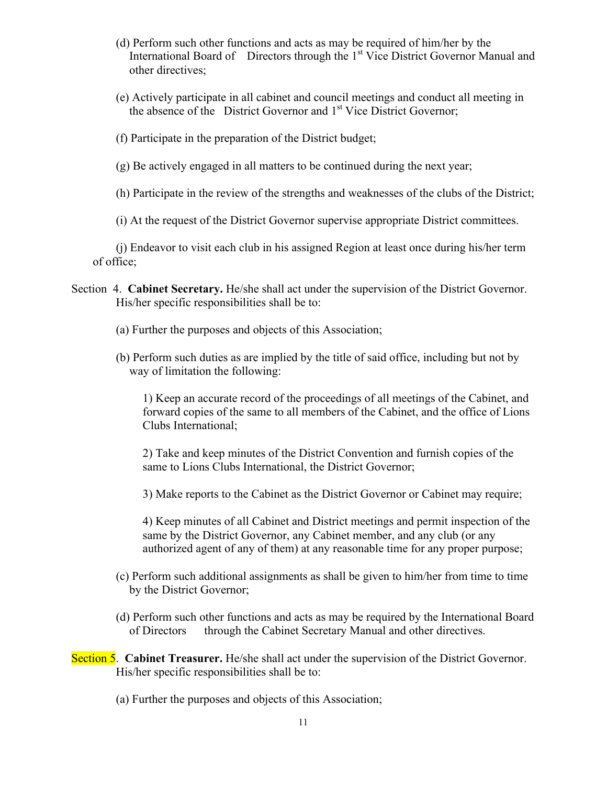- (d) Perform such other functions and acts as may be required of him/her by the International Board of Directors through the 1<sup>st</sup> Vice District Governor Manual and other directives;
- (e) Actively participate in all cabinet and council meetings and conduct all meeting in the absence of the District Governor and 1<sup>st</sup> Vice District Governor;
- (f) Participate in the preparation of the District budget;
- (g) Be actively engaged in all matters to be continued during the next year;
- (h) Participate in the review of the strengths and weaknesses of the clubs of the District;
- (i) At the request of the District Governor supervise appropriate District committees.

(j) Endeavor to visit each club in his assigned Region at least once during his/her term of office;

- Section 4. **Cabinet Secretary.** He/she shall act under the supervision of the District Governor. His/her specific responsibilities shall be to:
	- (a) Further the purposes and objects of this Association;
	- (b) Perform such duties as are implied by the title of said office, including but not by way of limitation the following:

1) Keep an accurate record of the proceedings of all meetings of the Cabinet, and forward copies of the same to all members of the Cabinet, and the office of Lions Clubs International;

2) Take and keep minutes of the District Convention and furnish copies of the same to Lions Clubs International, the District Governor;

3) Make reports to the Cabinet as the District Governor or Cabinet may require;

4) Keep minutes of all Cabinet and District meetings and permit inspection of the same by the District Governor, any Cabinet member, and any club (or any authorized agent of any of them) at any reasonable time for any proper purpose;

- (c) Perform such additional assignments as shall be given to him/her from time to time by the District Governor;
- (d) Perform such other functions and acts as may be required by the International Board of Directors through the Cabinet Secretary Manual and other directives.
- **Section 5. Cabinet Treasurer.** He/she shall act under the supervision of the District Governor. His/her specific responsibilities shall be to:
	- (a) Further the purposes and objects of this Association;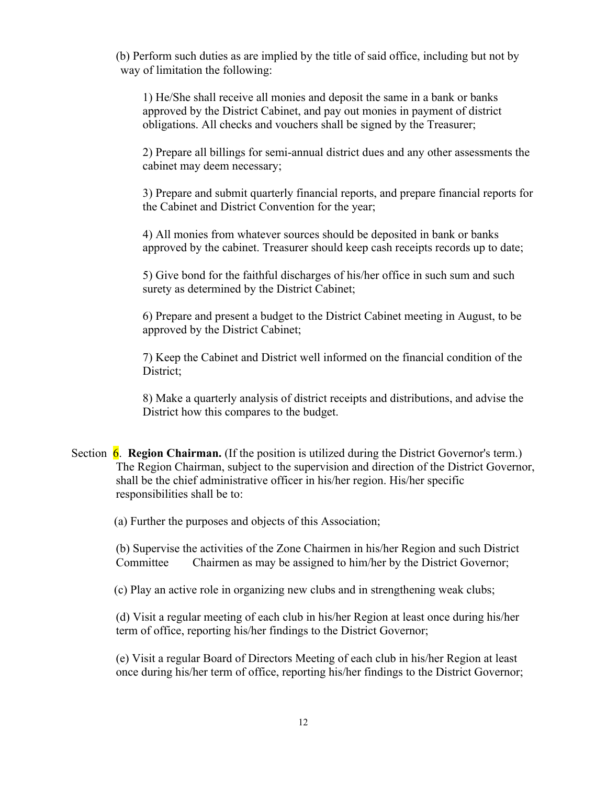(b) Perform such duties as are implied by the title of said office, including but not by way of limitation the following:

1) He/She shall receive all monies and deposit the same in a bank or banks approved by the District Cabinet, and pay out monies in payment of district obligations. All checks and vouchers shall be signed by the Treasurer;

2) Prepare all billings for semi-annual district dues and any other assessments the cabinet may deem necessary;

3) Prepare and submit quarterly financial reports, and prepare financial reports for the Cabinet and District Convention for the year;

4) All monies from whatever sources should be deposited in bank or banks approved by the cabinet. Treasurer should keep cash receipts records up to date;

5) Give bond for the faithful discharges of his/her office in such sum and such surety as determined by the District Cabinet;

6) Prepare and present a budget to the District Cabinet meeting in August, to be approved by the District Cabinet;

7) Keep the Cabinet and District well informed on the financial condition of the District;

8) Make a quarterly analysis of district receipts and distributions, and advise the District how this compares to the budget.

Section 6. **Region Chairman.** (If the position is utilized during the District Governor's term.) The Region Chairman, subject to the supervision and direction of the District Governor, shall be the chief administrative officer in his/her region. His/her specific responsibilities shall be to:

(a) Further the purposes and objects of this Association;

(b) Supervise the activities of the Zone Chairmen in his/her Region and such District Committee Chairmen as may be assigned to him/her by the District Governor;

(c) Play an active role in organizing new clubs and in strengthening weak clubs;

(d) Visit a regular meeting of each club in his/her Region at least once during his/her term of office, reporting his/her findings to the District Governor;

(e) Visit a regular Board of Directors Meeting of each club in his/her Region at least once during his/her term of office, reporting his/her findings to the District Governor;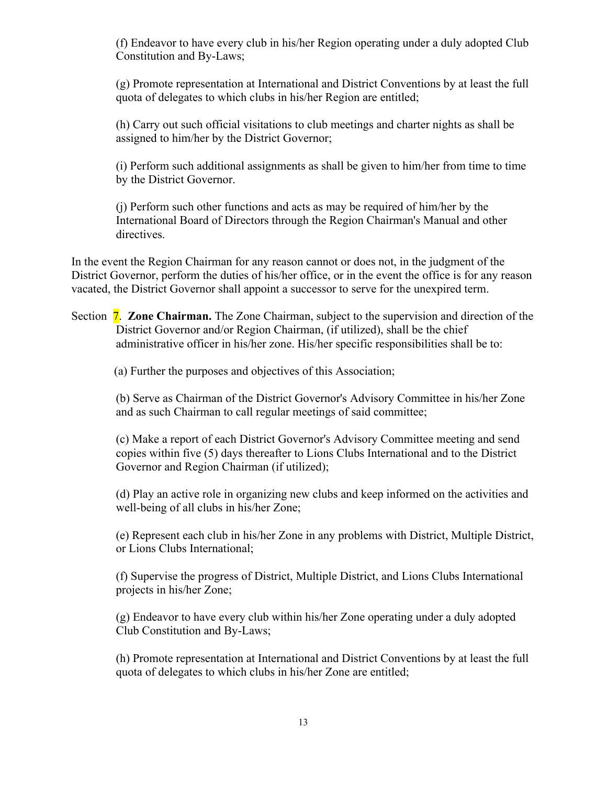(f) Endeavor to have every club in his/her Region operating under a duly adopted Club Constitution and By-Laws;

(g) Promote representation at International and District Conventions by at least the full quota of delegates to which clubs in his/her Region are entitled;

(h) Carry out such official visitations to club meetings and charter nights as shall be assigned to him/her by the District Governor;

(i) Perform such additional assignments as shall be given to him/her from time to time by the District Governor.

(j) Perform such other functions and acts as may be required of him/her by the International Board of Directors through the Region Chairman's Manual and other directives.

In the event the Region Chairman for any reason cannot or does not, in the judgment of the District Governor, perform the duties of his/her office, or in the event the office is for any reason vacated, the District Governor shall appoint a successor to serve for the unexpired term.

Section **7. Zone Chairman.** The Zone Chairman, subject to the supervision and direction of the District Governor and/or Region Chairman, (if utilized), shall be the chief administrative officer in his/her zone. His/her specific responsibilities shall be to:

(a) Further the purposes and objectives of this Association;

(b) Serve as Chairman of the District Governor's Advisory Committee in his/her Zone and as such Chairman to call regular meetings of said committee;

(c) Make a report of each District Governor's Advisory Committee meeting and send copies within five (5) days thereafter to Lions Clubs International and to the District Governor and Region Chairman (if utilized);

(d) Play an active role in organizing new clubs and keep informed on the activities and well-being of all clubs in his/her Zone;

(e) Represent each club in his/her Zone in any problems with District, Multiple District, or Lions Clubs International;

(f) Supervise the progress of District, Multiple District, and Lions Clubs International projects in his/her Zone;

(g) Endeavor to have every club within his/her Zone operating under a duly adopted Club Constitution and By-Laws;

(h) Promote representation at International and District Conventions by at least the full quota of delegates to which clubs in his/her Zone are entitled;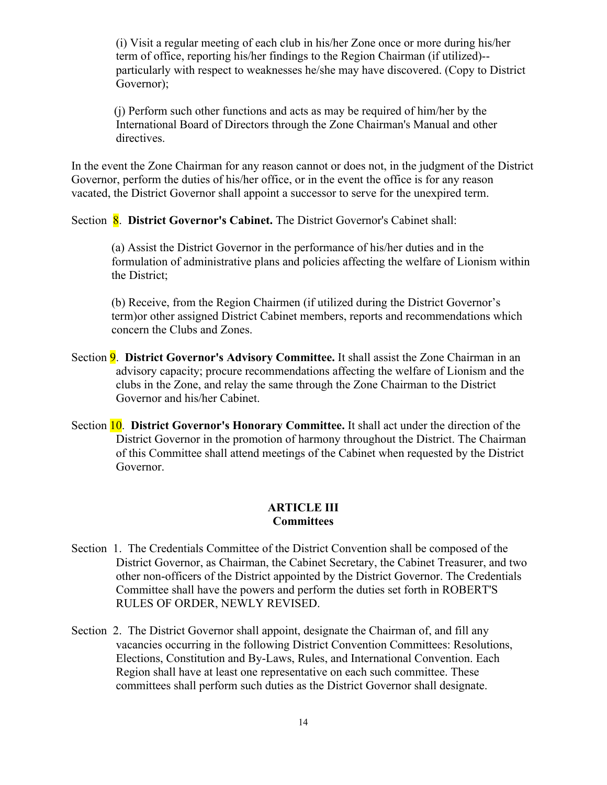(i) Visit a regular meeting of each club in his/her Zone once or more during his/her term of office, reporting his/her findings to the Region Chairman (if utilized)- particularly with respect to weaknesses he/she may have discovered. (Copy to District Governor);

(j) Perform such other functions and acts as may be required of him/her by the International Board of Directors through the Zone Chairman's Manual and other directives.

In the event the Zone Chairman for any reason cannot or does not, in the judgment of the District Governor, perform the duties of his/her office, or in the event the office is for any reason vacated, the District Governor shall appoint a successor to serve for the unexpired term.

Section 8. **District Governor's Cabinet.** The District Governor's Cabinet shall:

(a) Assist the District Governor in the performance of his/her duties and in the formulation of administrative plans and policies affecting the welfare of Lionism within the District;

(b) Receive, from the Region Chairmen (if utilized during the District Governor's term)or other assigned District Cabinet members, reports and recommendations which concern the Clubs and Zones.

- Section 9. **District Governor's Advisory Committee.** It shall assist the Zone Chairman in an advisory capacity; procure recommendations affecting the welfare of Lionism and the clubs in the Zone, and relay the same through the Zone Chairman to the District Governor and his/her Cabinet.
- Section 10. **District Governor's Honorary Committee.** It shall act under the direction of the District Governor in the promotion of harmony throughout the District. The Chairman of this Committee shall attend meetings of the Cabinet when requested by the District Governor.

#### **ARTICLE III Committees**

- Section 1. The Credentials Committee of the District Convention shall be composed of the District Governor, as Chairman, the Cabinet Secretary, the Cabinet Treasurer, and two other non-officers of the District appointed by the District Governor. The Credentials Committee shall have the powers and perform the duties set forth in ROBERT'S RULES OF ORDER, NEWLY REVISED.
- Section 2. The District Governor shall appoint, designate the Chairman of, and fill any vacancies occurring in the following District Convention Committees: Resolutions, Elections, Constitution and By-Laws, Rules, and International Convention. Each Region shall have at least one representative on each such committee. These committees shall perform such duties as the District Governor shall designate.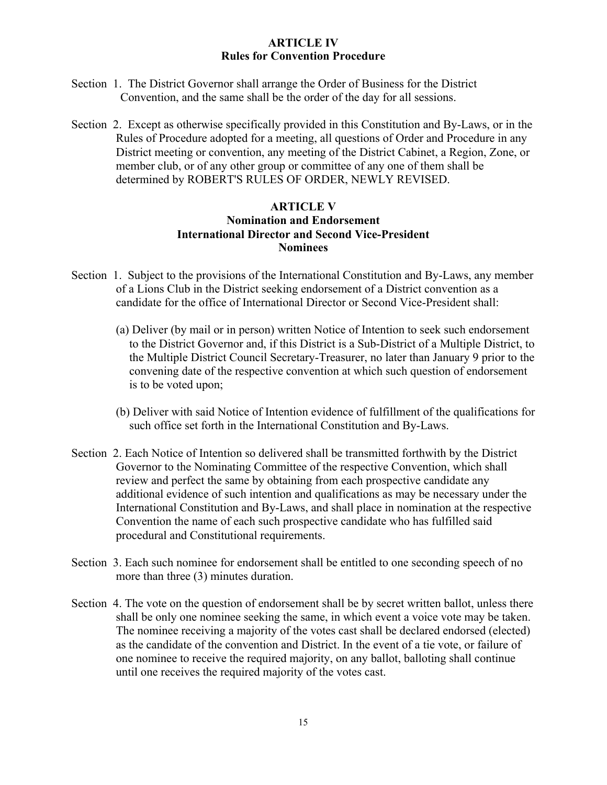# **ARTICLE IV Rules for Convention Procedure**

- Section 1. The District Governor shall arrange the Order of Business for the District Convention, and the same shall be the order of the day for all sessions.
- Section 2. Except as otherwise specifically provided in this Constitution and By-Laws, or in the Rules of Procedure adopted for a meeting, all questions of Order and Procedure in any District meeting or convention, any meeting of the District Cabinet, a Region, Zone, or member club, or of any other group or committee of any one of them shall be determined by ROBERT'S RULES OF ORDER, NEWLY REVISED.

# **ARTICLE V Nomination and Endorsement International Director and Second Vice-President Nominees**

- Section 1. Subject to the provisions of the International Constitution and By-Laws, any member of a Lions Club in the District seeking endorsement of a District convention as a candidate for the office of International Director or Second Vice-President shall:
	- (a) Deliver (by mail or in person) written Notice of Intention to seek such endorsement to the District Governor and, if this District is a Sub-District of a Multiple District, to the Multiple District Council Secretary-Treasurer, no later than January 9 prior to the convening date of the respective convention at which such question of endorsement is to be voted upon;
	- (b) Deliver with said Notice of Intention evidence of fulfillment of the qualifications for such office set forth in the International Constitution and By-Laws.
- Section 2. Each Notice of Intention so delivered shall be transmitted forthwith by the District Governor to the Nominating Committee of the respective Convention, which shall review and perfect the same by obtaining from each prospective candidate any additional evidence of such intention and qualifications as may be necessary under the International Constitution and By-Laws, and shall place in nomination at the respective Convention the name of each such prospective candidate who has fulfilled said procedural and Constitutional requirements.
- Section 3. Each such nominee for endorsement shall be entitled to one seconding speech of no more than three (3) minutes duration.
- Section 4. The vote on the question of endorsement shall be by secret written ballot, unless there shall be only one nominee seeking the same, in which event a voice vote may be taken. The nominee receiving a majority of the votes cast shall be declared endorsed (elected) as the candidate of the convention and District. In the event of a tie vote, or failure of one nominee to receive the required majority, on any ballot, balloting shall continue until one receives the required majority of the votes cast.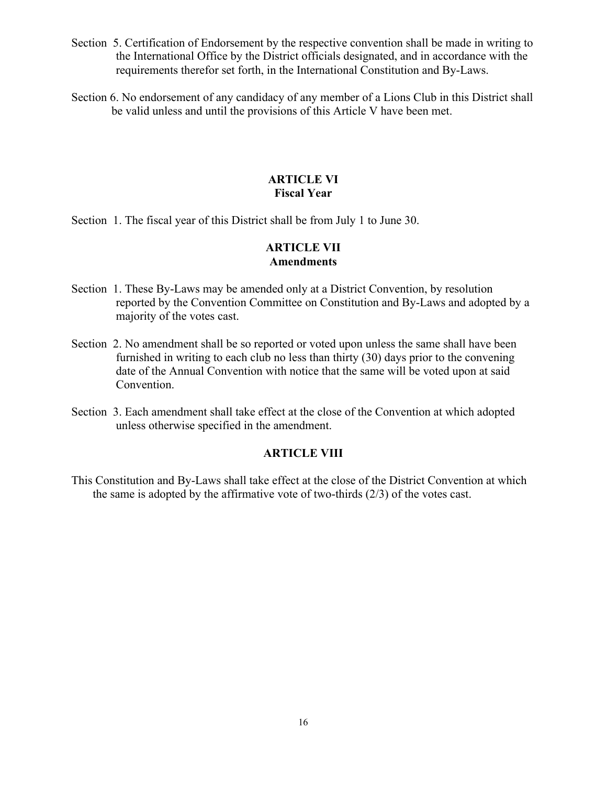- Section 5. Certification of Endorsement by the respective convention shall be made in writing to the International Office by the District officials designated, and in accordance with the requirements therefor set forth, in the International Constitution and By-Laws.
- Section 6. No endorsement of any candidacy of any member of a Lions Club in this District shall be valid unless and until the provisions of this Article V have been met.

## **ARTICLE VI Fiscal Year**

Section 1. The fiscal year of this District shall be from July 1 to June 30.

# **ARTICLE VII Amendments**

- Section 1. These By-Laws may be amended only at a District Convention, by resolution reported by the Convention Committee on Constitution and By-Laws and adopted by a majority of the votes cast.
- Section 2. No amendment shall be so reported or voted upon unless the same shall have been furnished in writing to each club no less than thirty (30) days prior to the convening date of the Annual Convention with notice that the same will be voted upon at said Convention.
- Section 3. Each amendment shall take effect at the close of the Convention at which adopted unless otherwise specified in the amendment.

#### **ARTICLE VIII**

This Constitution and By-Laws shall take effect at the close of the District Convention at which the same is adopted by the affirmative vote of two-thirds  $(2/3)$  of the votes cast.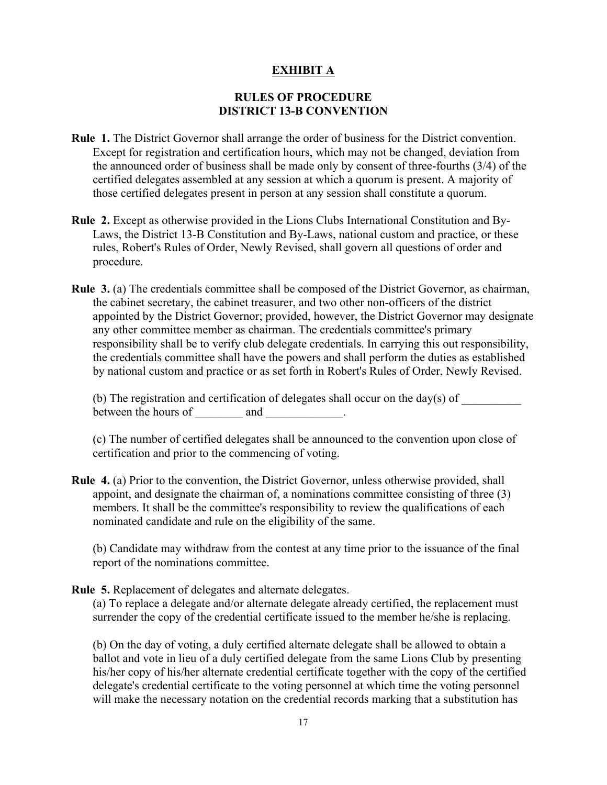# **EXHIBIT A**

# **RULES OF PROCEDURE DISTRICT 13-B CONVENTION**

- **Rule 1.** The District Governor shall arrange the order of business for the District convention. Except for registration and certification hours, which may not be changed, deviation from the announced order of business shall be made only by consent of three-fourths (3/4) of the certified delegates assembled at any session at which a quorum is present. A majority of those certified delegates present in person at any session shall constitute a quorum.
- **Rule 2.** Except as otherwise provided in the Lions Clubs International Constitution and By-Laws, the District 13-B Constitution and By-Laws, national custom and practice, or these rules, Robert's Rules of Order, Newly Revised, shall govern all questions of order and procedure.
- **Rule 3.** (a) The credentials committee shall be composed of the District Governor, as chairman, the cabinet secretary, the cabinet treasurer, and two other non-officers of the district appointed by the District Governor; provided, however, the District Governor may designate any other committee member as chairman. The credentials committee's primary responsibility shall be to verify club delegate credentials. In carrying this out responsibility, the credentials committee shall have the powers and shall perform the duties as established by national custom and practice or as set forth in Robert's Rules of Order, Newly Revised.

(b) The registration and certification of delegates shall occur on the day(s) of between the hours of and  $\qquad \qquad$  .

(c) The number of certified delegates shall be announced to the convention upon close of certification and prior to the commencing of voting.

**Rule 4.** (a) Prior to the convention, the District Governor, unless otherwise provided, shall appoint, and designate the chairman of, a nominations committee consisting of three (3) members. It shall be the committee's responsibility to review the qualifications of each nominated candidate and rule on the eligibility of the same.

(b) Candidate may withdraw from the contest at any time prior to the issuance of the final report of the nominations committee.

**Rule 5.** Replacement of delegates and alternate delegates.

(a) To replace a delegate and/or alternate delegate already certified, the replacement must surrender the copy of the credential certificate issued to the member he/she is replacing.

(b) On the day of voting, a duly certified alternate delegate shall be allowed to obtain a ballot and vote in lieu of a duly certified delegate from the same Lions Club by presenting his/her copy of his/her alternate credential certificate together with the copy of the certified delegate's credential certificate to the voting personnel at which time the voting personnel will make the necessary notation on the credential records marking that a substitution has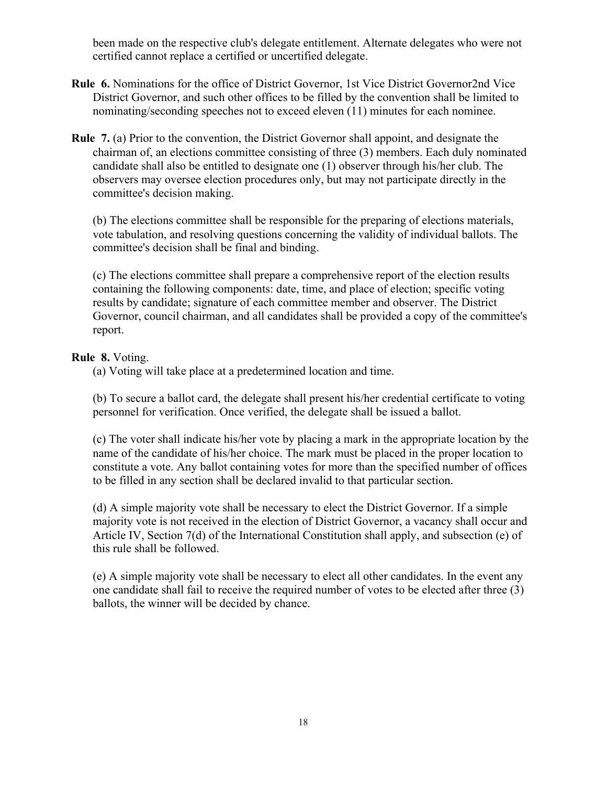been made on the respective club's delegate entitlement. Alternate delegates who were not certified cannot replace a certified or uncertified delegate.

- **Rule 6.** Nominations for the office of District Governor, 1st Vice District Governor2nd Vice District Governor, and such other offices to be filled by the convention shall be limited to nominating/seconding speeches not to exceed eleven (11) minutes for each nominee.
- **Rule 7.** (a) Prior to the convention, the District Governor shall appoint, and designate the chairman of, an elections committee consisting of three (3) members. Each duly nominated candidate shall also be entitled to designate one (1) observer through his/her club. The observers may oversee election procedures only, but may not participate directly in the committee's decision making.

(b) The elections committee shall be responsible for the preparing of elections materials, vote tabulation, and resolving questions concerning the validity of individual ballots. The committee's decision shall be final and binding.

(c) The elections committee shall prepare a comprehensive report of the election results containing the following components: date, time, and place of election; specific voting results by candidate; signature of each committee member and observer. The District Governor, council chairman, and all candidates shall be provided a copy of the committee's report.

#### **Rule 8.** Voting.

(a) Voting will take place at a predetermined location and time.

(b) To secure a ballot card, the delegate shall present his/her credential certificate to voting personnel for verification. Once verified, the delegate shall be issued a ballot.

(c) The voter shall indicate his/her vote by placing a mark in the appropriate location by the name of the candidate of his/her choice. The mark must be placed in the proper location to constitute a vote. Any ballot containing votes for more than the specified number of offices to be filled in any section shall be declared invalid to that particular section.

(d) A simple majority vote shall be necessary to elect the District Governor. If a simple majority vote is not received in the election of District Governor, a vacancy shall occur and Article IV, Section 7(d) of the International Constitution shall apply, and subsection (e) of this rule shall be followed.

(e) A simple majority vote shall be necessary to elect all other candidates. In the event any one candidate shall fail to receive the required number of votes to be elected after three (3) ballots, the winner will be decided by chance.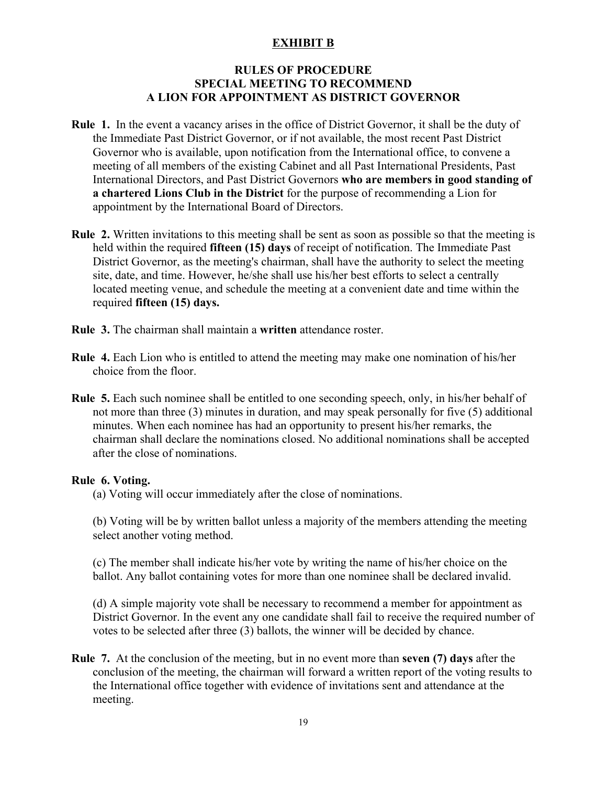# **EXHIBIT B**

## **RULES OF PROCEDURE SPECIAL MEETING TO RECOMMEND A LION FOR APPOINTMENT AS DISTRICT GOVERNOR**

- **Rule 1.** In the event a vacancy arises in the office of District Governor, it shall be the duty of the Immediate Past District Governor, or if not available, the most recent Past District Governor who is available, upon notification from the International office, to convene a meeting of all members of the existing Cabinet and all Past International Presidents, Past International Directors, and Past District Governors **who are members in good standing of a chartered Lions Club in the District** for the purpose of recommending a Lion for appointment by the International Board of Directors.
- **Rule 2.** Written invitations to this meeting shall be sent as soon as possible so that the meeting is held within the required **fifteen (15) days** of receipt of notification. The Immediate Past District Governor, as the meeting's chairman, shall have the authority to select the meeting site, date, and time. However, he/she shall use his/her best efforts to select a centrally located meeting venue, and schedule the meeting at a convenient date and time within the required **fifteen (15) days.**
- **Rule 3.** The chairman shall maintain a **written** attendance roster.
- **Rule 4.** Each Lion who is entitled to attend the meeting may make one nomination of his/her choice from the floor.
- **Rule 5.** Each such nominee shall be entitled to one seconding speech, only, in his/her behalf of not more than three (3) minutes in duration, and may speak personally for five (5) additional minutes. When each nominee has had an opportunity to present his/her remarks, the chairman shall declare the nominations closed. No additional nominations shall be accepted after the close of nominations.

# **Rule 6. Voting.**

(a) Voting will occur immediately after the close of nominations.

(b) Voting will be by written ballot unless a majority of the members attending the meeting select another voting method.

(c) The member shall indicate his/her vote by writing the name of his/her choice on the ballot. Any ballot containing votes for more than one nominee shall be declared invalid.

(d) A simple majority vote shall be necessary to recommend a member for appointment as District Governor. In the event any one candidate shall fail to receive the required number of votes to be selected after three (3) ballots, the winner will be decided by chance.

**Rule 7.** At the conclusion of the meeting, but in no event more than **seven (7) days** after the conclusion of the meeting, the chairman will forward a written report of the voting results to the International office together with evidence of invitations sent and attendance at the meeting.